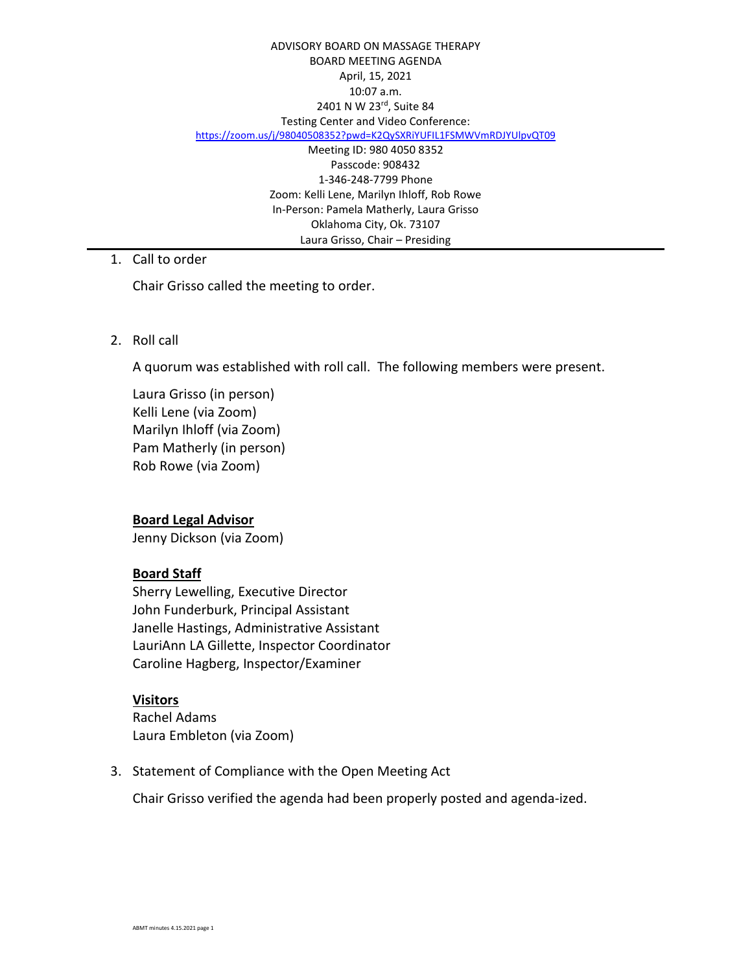#### ADVISORY BOARD ON MASSAGE THERAPY BOARD MEETING AGENDA April, 15, 2021 10:07 a.m. 2401 N W 23rd, Suite 84 Testing Center and Video Conference: <https://zoom.us/j/98040508352?pwd=K2QySXRiYUFIL1FSMWVmRDJYUlpvQT09> Meeting ID: 980 4050 8352 Passcode: 908432 1-346-248-7799 Phone Zoom: Kelli Lene, Marilyn Ihloff, Rob Rowe In-Person: Pamela Matherly, Laura Grisso Oklahoma City, Ok. 73107 Laura Grisso, Chair – Presiding

## 1. Call to order

Chair Grisso called the meeting to order.

2. Roll call

A quorum was established with roll call. The following members were present.

Laura Grisso (in person) Kelli Lene (via Zoom) Marilyn Ihloff (via Zoom) Pam Matherly (in person) Rob Rowe (via Zoom)

# **Board Legal Advisor**

Jenny Dickson (via Zoom)

### **Board Staff**

Sherry Lewelling, Executive Director John Funderburk, Principal Assistant Janelle Hastings, Administrative Assistant LauriAnn LA Gillette, Inspector Coordinator Caroline Hagberg, Inspector/Examiner

### **Visitors**

Rachel Adams Laura Embleton (via Zoom)

3. Statement of Compliance with the Open Meeting Act

Chair Grisso verified the agenda had been properly posted and agenda-ized.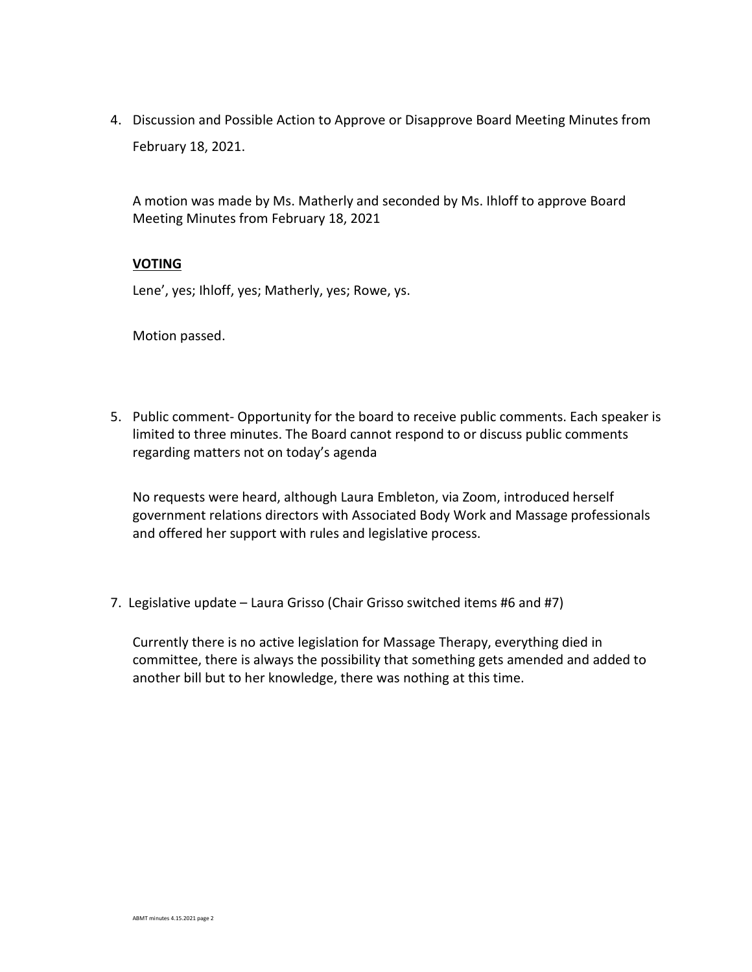4. Discussion and Possible Action to Approve or Disapprove Board Meeting Minutes from February 18, 2021.

A motion was made by Ms. Matherly and seconded by Ms. Ihloff to approve Board Meeting Minutes from February 18, 2021

### **VOTING**

Lene', yes; Ihloff, yes; Matherly, yes; Rowe, ys.

Motion passed.

5. Public comment- Opportunity for the board to receive public comments. Each speaker is limited to three minutes. The Board cannot respond to or discuss public comments regarding matters not on today's agenda

No requests were heard, although Laura Embleton, via Zoom, introduced herself government relations directors with Associated Body Work and Massage professionals and offered her support with rules and legislative process.

7. Legislative update – Laura Grisso (Chair Grisso switched items #6 and #7)

Currently there is no active legislation for Massage Therapy, everything died in committee, there is always the possibility that something gets amended and added to another bill but to her knowledge, there was nothing at this time.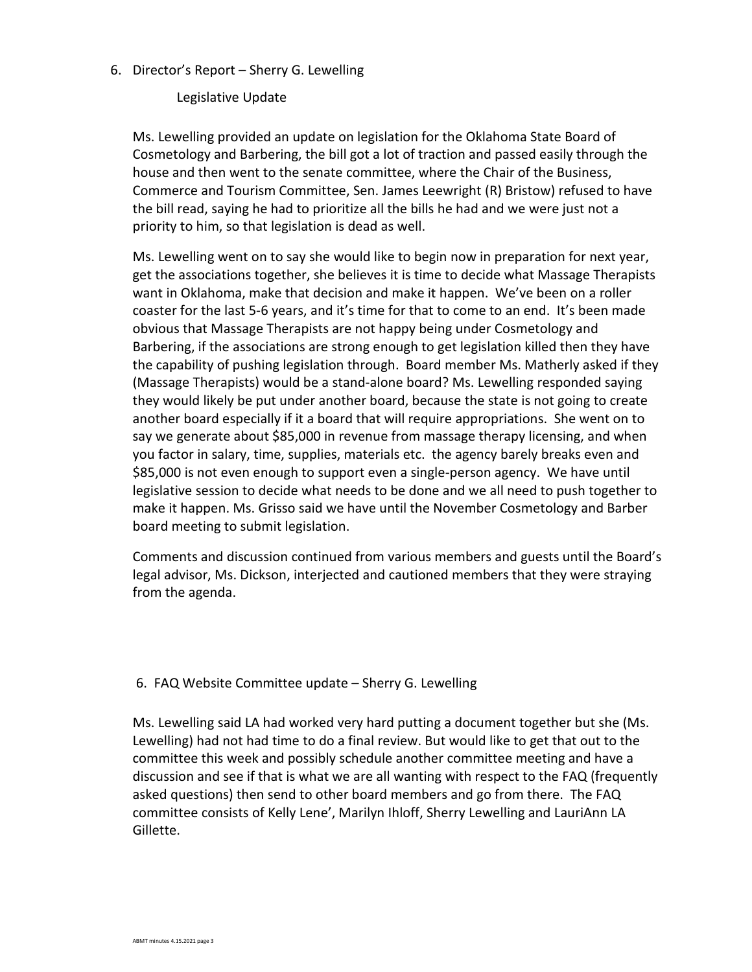### 6. Director's Report – Sherry G. Lewelling

Legislative Update

Ms. Lewelling provided an update on legislation for the Oklahoma State Board of Cosmetology and Barbering, the bill got a lot of traction and passed easily through the house and then went to the senate committee, where the Chair of the Business, Commerce and Tourism Committee, Sen. James Leewright (R) Bristow) refused to have the bill read, saying he had to prioritize all the bills he had and we were just not a priority to him, so that legislation is dead as well.

Ms. Lewelling went on to say she would like to begin now in preparation for next year, get the associations together, she believes it is time to decide what Massage Therapists want in Oklahoma, make that decision and make it happen. We've been on a roller coaster for the last 5-6 years, and it's time for that to come to an end. It's been made obvious that Massage Therapists are not happy being under Cosmetology and Barbering, if the associations are strong enough to get legislation killed then they have the capability of pushing legislation through. Board member Ms. Matherly asked if they (Massage Therapists) would be a stand-alone board? Ms. Lewelling responded saying they would likely be put under another board, because the state is not going to create another board especially if it a board that will require appropriations. She went on to say we generate about \$85,000 in revenue from massage therapy licensing, and when you factor in salary, time, supplies, materials etc. the agency barely breaks even and \$85,000 is not even enough to support even a single-person agency. We have until legislative session to decide what needs to be done and we all need to push together to make it happen. Ms. Grisso said we have until the November Cosmetology and Barber board meeting to submit legislation.

Comments and discussion continued from various members and guests until the Board's legal advisor, Ms. Dickson, interjected and cautioned members that they were straying from the agenda.

# 6. FAQ Website Committee update – Sherry G. Lewelling

Ms. Lewelling said LA had worked very hard putting a document together but she (Ms. Lewelling) had not had time to do a final review. But would like to get that out to the committee this week and possibly schedule another committee meeting and have a discussion and see if that is what we are all wanting with respect to the FAQ (frequently asked questions) then send to other board members and go from there. The FAQ committee consists of Kelly Lene', Marilyn Ihloff, Sherry Lewelling and LauriAnn LA Gillette.